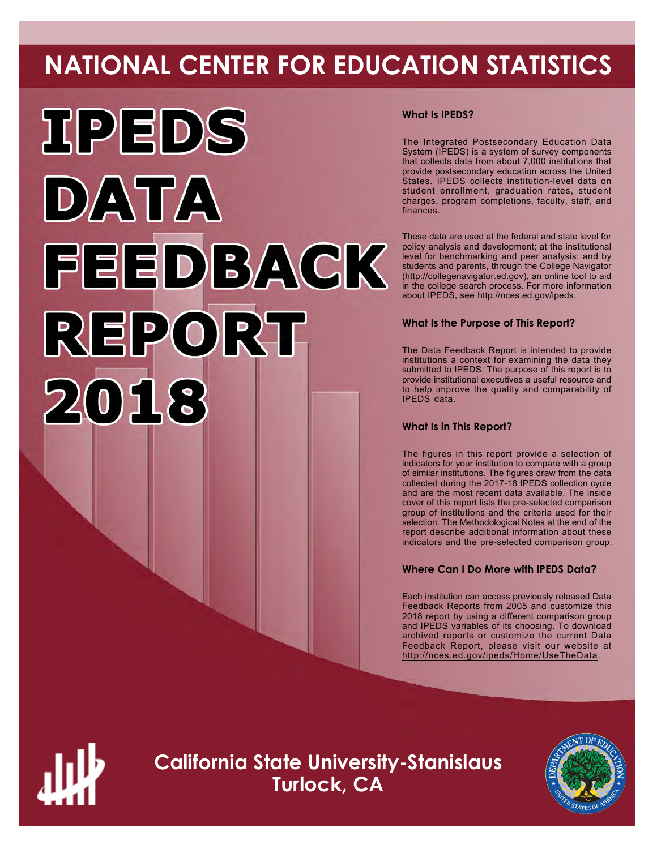# **NATIONAL CENTER FOR EDUCATION STATISTICS**



# **What Is IPEDS?**

The Integrated Postsecondary Education Data System (IPEDS) is a system of survey components that collects data from about 7,000 institutions that provide postsecondary education across the United States. IPEDS collects institution-level data on student enrollment, graduation rates, student charges, program completions, faculty, staff, and finances.

These data are used at the federal and state level for policy analysis and development; at the institutional level for benchmarking and peer analysis; and by students and parents, through the College Navigator (<http://collegenavigator.ed.gov>), an online tool to aid in the college search process. For more information about IPEDS, see [http://nces.ed.gov/ipeds.](http://nces.ed.gov/ipeds)

# **What Is the Purpose of This Report?**

The Data Feedback Report is intended to provide institutions a context for examining the data they submitted to IPEDS. The purpose of this report is to provide institutional executives a useful resource and to help improve the quality and comparability of IPEDS data.

# **What Is in This Report?**

The figures in this report provide a selection of indicators for your institution to compare with a group of similar institutions. The figures draw from the data collected during the 2017-18 IPEDS collection cycle and are the most recent data available. The inside cover of this report lists the pre-selected comparison group of institutions and the criteria used for their selection. The Methodological Notes at the end of the report describe additional information about these indicators and the pre-selected comparison group.

# **Where Can I Do More with IPEDS Data?**

Each institution can access previously released Data Feedback Reports from 2005 and customize this 2018 report by using a different comparison group and IPEDS variables of its choosing. To download archived reports or customize the current Data Feedback Report, please visit our website at <http://nces.ed.gov/ipeds/Home/UseTheData>.



**California State University-Stanislaus Turlock, CA**

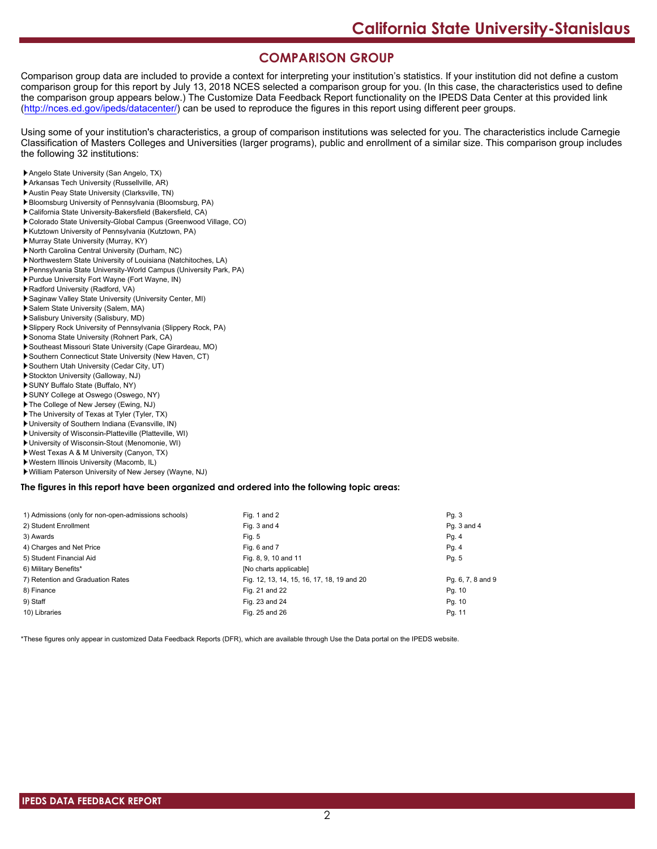# **COMPARISON GROUP**

Comparison group data are included to provide a context for interpreting your institution's statistics. If your institution did not define a custom comparison group for this report by July 13, 2018 NCES selected a comparison group for you. (In this case, the characteristics used to define the comparison group appears below.) The Customize Data Feedback Report functionality on the IPEDS Data Center at this provided link [\(http://nces.ed.gov/ipeds/datacenter/\)](http://nces.ed.gov/ipeds/datacenter/) can be used to reproduce the figures in this report using different peer groups.

Using some of your institution's characteristics, a group of comparison institutions was selected for you. The characteristics include Carnegie Classification of Masters Colleges and Universities (larger programs), public and enrollment of a similar size. This comparison group includes the following 32 institutions:

- Angelo State University (San Angelo, TX)
- Arkansas Tech University (Russellville, AR)
- Austin Peay State University (Clarksville, TN)
- Bloomsburg University of Pennsylvania (Bloomsburg, PA)
- California State University-Bakersfield (Bakersfield, CA)
- Colorado State University-Global Campus (Greenwood Village, CO)
- Kutztown University of Pennsylvania (Kutztown, PA)
- Murray State University (Murray, KY)
- North Carolina Central University (Durham, NC)
- Northwestern State University of Louisiana (Natchitoches, LA)
- Pennsylvania State University-World Campus (University Park, PA)
- Purdue University Fort Wayne (Fort Wayne, IN)
- Radford University (Radford, VA)
- Saginaw Valley State University (University Center, MI)
- Salem State University (Salem, MA)
- Salisbury University (Salisbury, MD)
- Slippery Rock University of Pennsylvania (Slippery Rock, PA)
- Sonoma State University (Rohnert Park, CA)
- Southeast Missouri State University (Cape Girardeau, MO)
- Southern Connecticut State University (New Haven, CT)
- Southern Utah University (Cedar City, UT)
- Stockton University (Galloway, NJ)
- SUNY Buffalo State (Buffalo, NY)
- SUNY College at Oswego (Oswego, NY)
- The College of New Jersey (Ewing, NJ)
- The University of Texas at Tyler (Tyler, TX)
- University of Southern Indiana (Evansville, IN)
- University of Wisconsin-Platteville (Platteville, WI)
- University of Wisconsin-Stout (Menomonie, WI)
- West Texas A & M University (Canyon, TX)
- Western Illinois University (Macomb, IL)
- William Paterson University of New Jersey (Wayne, NJ)

#### **The figures in this report have been organized and ordered into the following topic areas:**

| 1) Admissions (only for non-open-admissions schools) | Fig. 1 and 2                               | Pg. 3             |
|------------------------------------------------------|--------------------------------------------|-------------------|
| 2) Student Enrollment                                | Fig. 3 and 4                               | Pq. 3 and 4       |
| 3) Awards                                            | Fig. 5                                     | Pg. 4             |
| 4) Charges and Net Price                             | Fig. 6 and 7                               | Pg. 4             |
| 5) Student Financial Aid                             | Fig. 8, 9, 10 and 11                       | Pg. 5             |
| 6) Military Benefits*                                | [No charts applicable]                     |                   |
| 7) Retention and Graduation Rates                    | Fig. 12, 13, 14, 15, 16, 17, 18, 19 and 20 | Pg. 6, 7, 8 and 9 |
| 8) Finance                                           | Fig. 21 and 22                             | Pg. 10            |
| 9) Staff                                             | Fig. 23 and 24                             | Pg. 10            |
| 10) Libraries                                        | Fig. 25 and 26                             | Pg. 11            |

\*These figures only appear in customized Data Feedback Reports (DFR), which are available through Use the Data portal on the IPEDS website.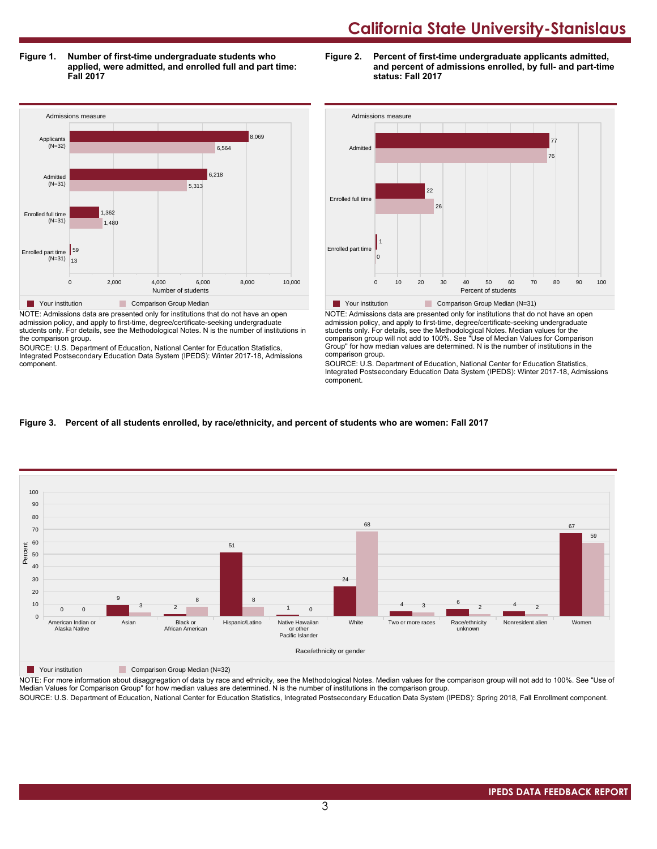**Figure 1. Number of first-time undergraduate students who applied, were admitted, and enrolled full and part time: Fall 2017**

**Figure 2. Percent of first-time undergraduate applicants admitted, and percent of admissions enrolled, by full- and part-time status: Fall 2017**



admission policy, and apply to first-time, degree/certificate-seeking undergraduate students only. For details, see the Methodological Notes. N is the number of institutions in the comparison group.

SOURCE: U.S. Department of Education, National Center for Education Statistics, Integrated Postsecondary Education Data System (IPEDS): Winter 2017-18, Admissions component.



NOTE: Admissions data are presented only for institutions that do not have an open admission policy, and apply to first-time, degree/certificate-seeking undergraduate students only. For details, see the Methodological Notes. Median values for the comparison group will not add to 100%. See "Use of Median Values for Comparison Group" for how median values are determined. N is the number of institutions in the comparison group.

SOURCE: U.S. Department of Education, National Center for Education Statistics, Integrated Postsecondary Education Data System (IPEDS): Winter 2017-18, Admissions component.

# **Figure 3. Percent of all students enrolled, by race/ethnicity, and percent of students who are women: Fall 2017**



**The Your institution Comparison Group Median (N=32)** 

NOTE: For more information about disaggregation of data by race and ethnicity, see the Methodological Notes. Median values for the comparison group will not add to 100%. See "Use of Median Values for Comparison Group" for how median values are determined. N is the number of institutions in the comparison group.

SOURCE: U.S. Department of Education, National Center for Education Statistics, Integrated Postsecondary Education Data System (IPEDS): Spring 2018, Fall Enrollment component.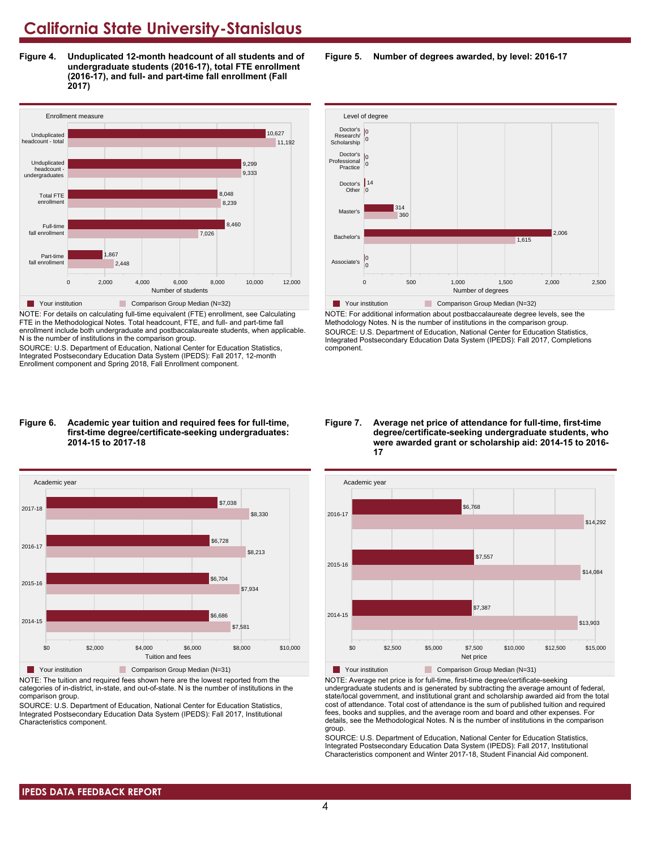**Figure 4. Unduplicated 12-month headcount of all students and of undergraduate students (2016-17), total FTE enrollment (2016-17), and full- and part-time fall enrollment (Fall 2017)**



NOTE: For details on calculating full-time equivalent (FTE) enrollment, see Calculating FTE in the Methodological Notes. Total headcount, FTE, and full- and part-time fall enrollment include both undergraduate and postbaccalaureate students, when applicable. N is the number of institutions in the comparison group.

SOURCE: U.S. Department of Education, National Center for Education Statistics, Integrated Postsecondary Education Data System (IPEDS): Fall 2017, 12-month Enrollment component and Spring 2018, Fall Enrollment component.

#### **Figure 6. Academic year tuition and required fees for full-time, first-time degree/certificate-seeking undergraduates: 2014-15 to 2017-18**



NOTE: The tuition and required fees shown here are the lowest reported from the categories of in-district, in-state, and out-of-state. N is the number of institutions in the comparison group.

SOURCE: U.S. Department of Education, National Center for Education Statistics, Integrated Postsecondary Education Data System (IPEDS): Fall 2017, Institutional Characteristics component.

**Figure 5. Number of degrees awarded, by level: 2016-17**



NOTE: For additional information about postbaccalaureate degree levels, see the Methodology Notes. N is the number of institutions in the comparison group. SOURCE: U.S. Department of Education, National Center for Education Statistics, Integrated Postsecondary Education Data System (IPEDS): Fall 2017, Completions component.

#### **Figure 7. Average net price of attendance for full-time, first-time degree/certificate-seeking undergraduate students, who were awarded grant or scholarship aid: 2014-15 to 2016- 17**



NOTE: Average net price is for full-time, first-time degree/certificate-seeking undergraduate students and is generated by subtracting the average amount of federal, state/local government, and institutional grant and scholarship awarded aid from the total cost of attendance. Total cost of attendance is the sum of published tuition and required fees, books and supplies, and the average room and board and other expenses. For details, see the Methodological Notes. N is the number of institutions in the comparison group.

SOURCE: U.S. Department of Education, National Center for Education Statistics, Integrated Postsecondary Education Data System (IPEDS): Fall 2017, Institutional Characteristics component and Winter 2017-18, Student Financial Aid component.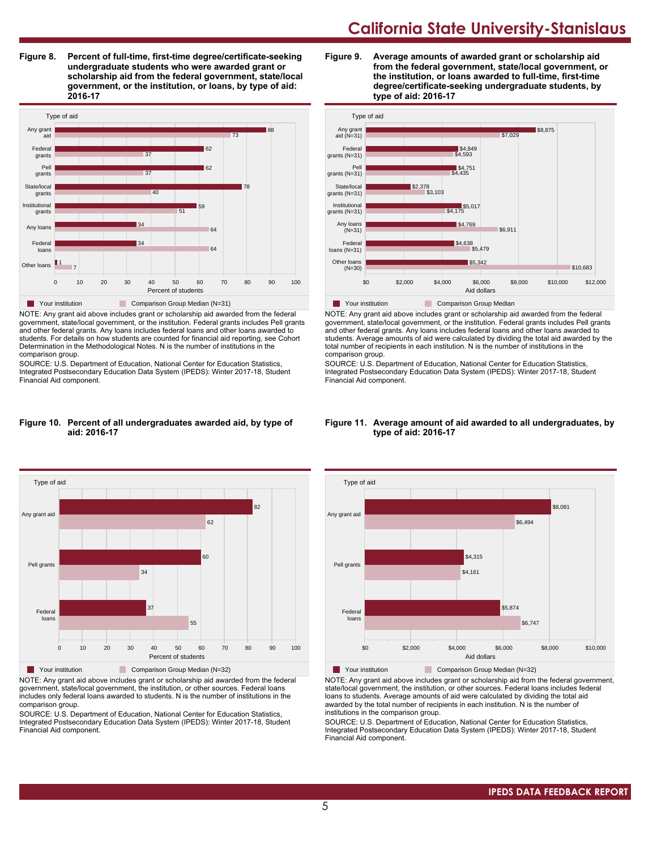**Figure 8. Percent of full-time, first-time degree/certificate-seeking undergraduate students who were awarded grant or scholarship aid from the federal government, state/local government, or the institution, or loans, by type of aid: 2016-17**



NOTE: Any grant aid above includes grant or scholarship aid awarded from the federal government, state/local government, or the institution. Federal grants includes Pell grants and other federal grants. Any loans includes federal loans and other loans awarded to students. For details on how students are counted for financial aid reporting, see Cohort Determination in the Methodological Notes. N is the number of institutions in the comparison group.

SOURCE: U.S. Department of Education, National Center for Education Statistics, Integrated Postsecondary Education Data System (IPEDS): Winter 2017-18, Student Financial Aid component.

#### **Figure 10. Percent of all undergraduates awarded aid, by type of aid: 2016-17**



NOTE: Any grant aid above includes grant or scholarship aid awarded from the federal government, state/local government, the institution, or other sources. Federal loans includes only federal loans awarded to students. N is the number of institutions in the comparison group.

SOURCE: U.S. Department of Education, National Center for Education Statistics, Integrated Postsecondary Education Data System (IPEDS): Winter 2017-18, Student Financial Aid component.





NOTE: Any grant aid above includes grant or scholarship aid awarded from the federal government, state/local government, or the institution. Federal grants includes Pell grants and other federal grants. Any loans includes federal loans and other loans awarded to students. Average amounts of aid were calculated by dividing the total aid awarded by the total number of recipients in each institution. N is the number of institutions in the comparison group.

SOURCE: U.S. Department of Education, National Center for Education Statistics, Integrated Postsecondary Education Data System (IPEDS): Winter 2017-18, Student Financial Aid component.



#### **Figure 11. Average amount of aid awarded to all undergraduates, by type of aid: 2016-17**

NOTE: Any grant aid above includes grant or scholarship aid from the federal government, state/local government, the institution, or other sources. Federal loans includes federal loans to students. Average amounts of aid were calculated by dividing the total aid awarded by the total number of recipients in each institution. N is the number of institutions in the comparison group.

SOURCE: U.S. Department of Education, National Center for Education Statistics, Integrated Postsecondary Education Data System (IPEDS): Winter 2017-18, Student Financial Aid component.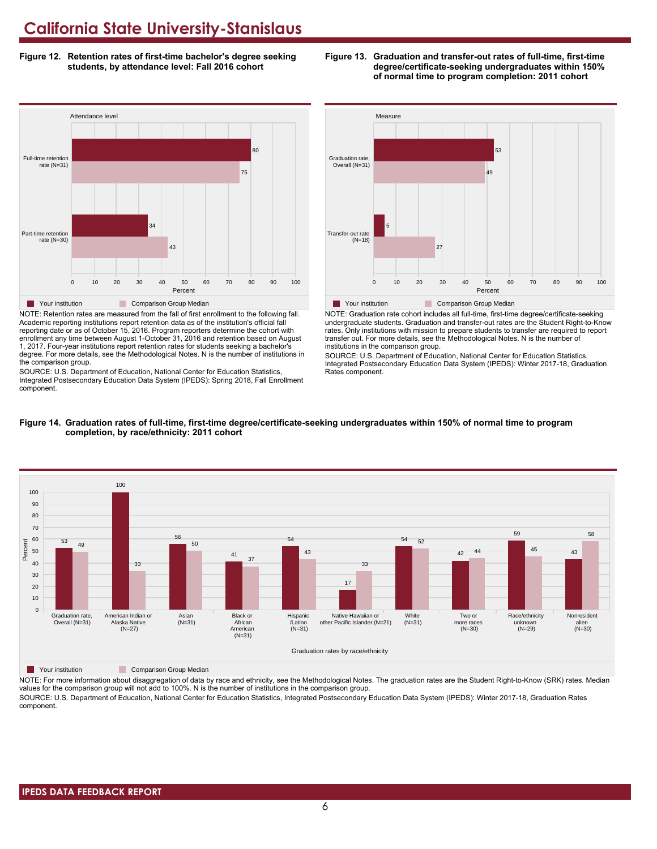**Figure 12. Retention rates of first-time bachelor's degree seeking students, by attendance level: Fall 2016 cohort**



NOTE: Retention rates are measured from the fall of first enrollment to the following fall. Academic reporting institutions report retention data as of the institution's official fall reporting date or as of October 15, 2016. Program reporters determine the cohort with enrollment any time between August 1-October 31, 2016 and retention based on August 1, 2017. Four-year institutions report retention rates for students seeking a bachelor's degree. For more details, see the Methodological Notes. N is the number of institutions in the comparison group.

SOURCE: U.S. Department of Education, National Center for Education Statistics, Integrated Postsecondary Education Data System (IPEDS): Spring 2018, Fall Enrollment component.



**Figure 13. Graduation and transfer-out rates of full-time, first-time**

**degree/certificate-seeking undergraduates within 150% of normal time to program completion: 2011 cohort**

NOTE: Graduation rate cohort includes all full-time, first-time degree/certificate-seeking undergraduate students. Graduation and transfer-out rates are the Student Right-to-Know rates. Only institutions with mission to prepare students to transfer are required to report transfer out. For more details, see the Methodological Notes. N is the number of institutions in the comparison group.

SOURCE: U.S. Department of Education, National Center for Education Statistics, Integrated Postsecondary Education Data System (IPEDS): Winter 2017-18, Graduation Rates component.



#### **Figure 14. Graduation rates of full-time, first-time degree/certificate-seeking undergraduates within 150% of normal time to program completion, by race/ethnicity: 2011 cohort**

**The Your institution** Comparison Group Median

NOTE: For more information about disaggregation of data by race and ethnicity, see the Methodological Notes. The graduation rates are the Student Right-to-Know (SRK) rates. Median values for the comparison group will not add to 100%. N is the number of institutions in the comparison group. SOURCE: U.S. Department of Education, National Center for Education Statistics, Integrated Postsecondary Education Data System (IPEDS): Winter 2017-18, Graduation Rates

component.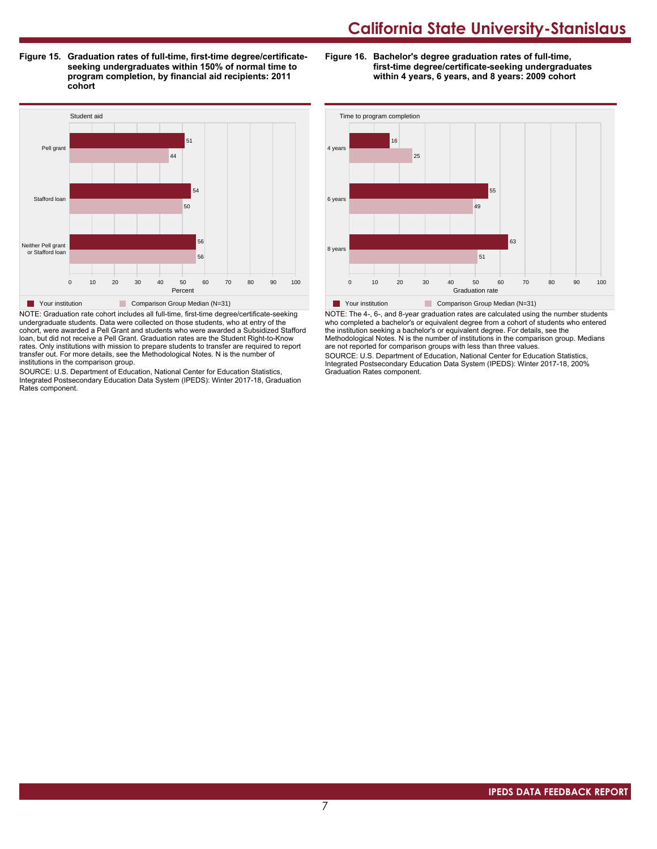**Figure 15. Graduation rates of full-time, first-time degree/certificateseeking undergraduates within 150% of normal time to program completion, by financial aid recipients: 2011 cohort**

**Figure 16. Bachelor's degree graduation rates of full-time, first-time degree/certificate-seeking undergraduates within 4 years, 6 years, and 8 years: 2009 cohort**



NOTE: Graduation rate cohort includes all full-time, first-time degree/certificate-seeking undergraduate students. Data were collected on those students, who at entry of the cohort, were awarded a Pell Grant and students who were awarded a Subsidized Stafford loan, but did not receive a Pell Grant. Graduation rates are the Student Right-to-Know rates. Only institutions with mission to prepare students to transfer are required to report transfer out. For more details, see the Methodological Notes. N is the number of institutions in the comparison group.

SOURCE: U.S. Department of Education, National Center for Education Statistics, Integrated Postsecondary Education Data System (IPEDS): Winter 2017-18, Graduation Rates component.



NOTE: The 4-, 6-, and 8-year graduation rates are calculated using the number students who completed a bachelor's or equivalent degree from a cohort of students who entered the institution seeking a bachelor's or equivalent degree. For details, see the Methodological Notes. N is the number of institutions in the comparison group. Medians are not reported for comparison groups with less than three values.

SOURCE: U.S. Department of Education, National Center for Education Statistics, Integrated Postsecondary Education Data System (IPEDS): Winter 2017-18, 200% Graduation Rates component.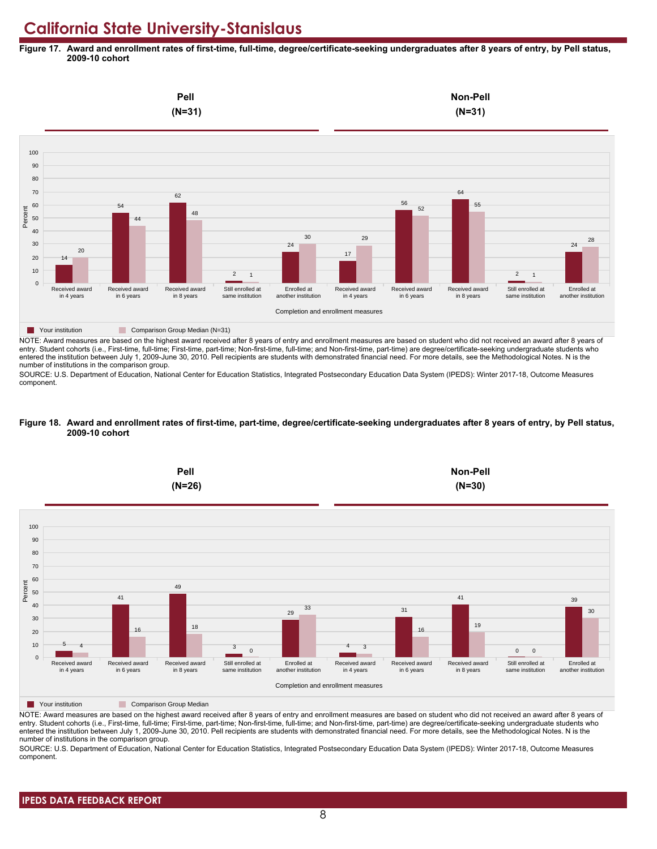**Figure 17. Award and enrollment rates of first-time, full-time, degree/certificate-seeking undergraduates after 8 years of entry, by Pell status, 2009-10 cohort**



NOTE: Award measures are based on the highest award received after 8 years of entry and enrollment measures are based on student who did not received an award after 8 years of entry. Student cohorts (i.e., First-time, full-time; First-time, part-time; Non-first-time, full-time; and Non-first-time, part-time) are degree/certificate-seeking undergraduate students who entered the institution between July 1, 2009-June 30, 2010. Pell recipients are students with demonstrated financial need. For more details, see the Methodological Notes. N is the number of institutions in the comparison group.

SOURCE: U.S. Department of Education, National Center for Education Statistics, Integrated Postsecondary Education Data System (IPEDS): Winter 2017-18, Outcome Measures component.

#### **Figure 18. Award and enrollment rates of first-time, part-time, degree/certificate-seeking undergraduates after 8 years of entry, by Pell status, 2009-10 cohort**



NOTE: Award measures are based on the highest award received after 8 years of entry and enrollment measures are based on student who did not received an award after 8 years of entry. Student cohorts (i.e., First-time, full-time; First-time, part-time; Non-first-time, full-time; and Non-first-time, part-time) are degree/certificate-seeking undergraduate students who entered the institution between July 1, 2009-June 30, 2010. Pell recipients are students with demonstrated financial need. For more details, see the Methodological Notes. N is the number of institutions in the comparison group.

SOURCE: U.S. Department of Education, National Center for Education Statistics, Integrated Postsecondary Education Data System (IPEDS): Winter 2017-18, Outcome Measures component.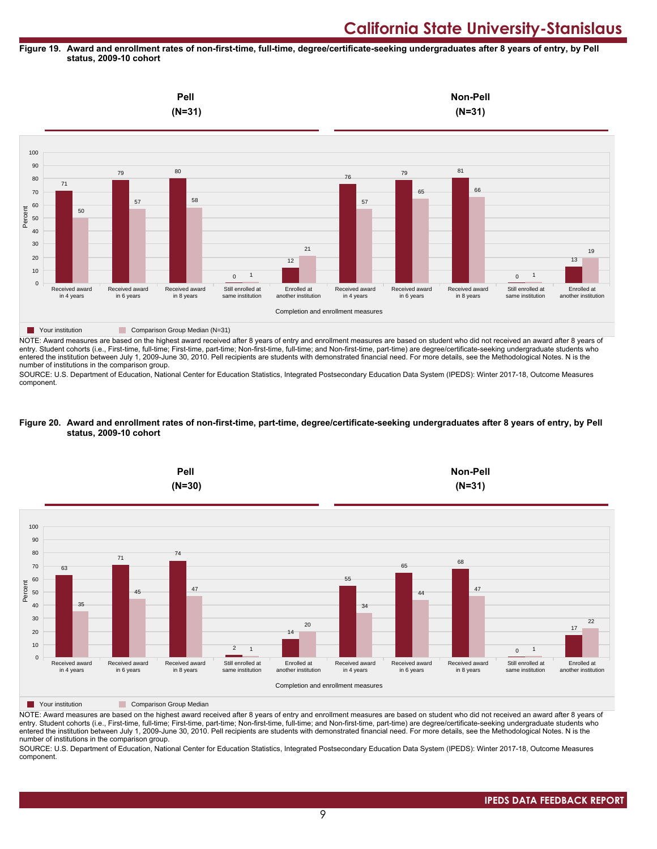#### **Figure 19. Award and enrollment rates of non-first-time, full-time, degree/certificate-seeking undergraduates after 8 years of entry, by Pell status, 2009-10 cohort**



entry. Student cohorts (i.e., First-time, full-time; First-time, part-time; Non-first-time, full-time; and Non-first-time, part-time) are degree/certificate-seeking undergraduate students who entered the institution between July 1, 2009-June 30, 2010. Pell recipients are students with demonstrated financial need. For more details, see the Methodological Notes. N is the number of institutions in the comparison group.

SOURCE: U.S. Department of Education, National Center for Education Statistics, Integrated Postsecondary Education Data System (IPEDS): Winter 2017-18, Outcome Measures component.

#### **Figure 20. Award and enrollment rates of non-first-time, part-time, degree/certificate-seeking undergraduates after 8 years of entry, by Pell status, 2009-10 cohort**



NOTE: Award measures are based on the highest award received after 8 years of entry and enrollment measures are based on student who did not received an award after 8 years of entry. Student cohorts (i.e., First-time, full-time; First-time, part-time; Non-first-time, full-time; and Non-first-time, part-time) are degree/certificate-seeking undergraduate students who entered the institution between July 1, 2009-June 30, 2010. Pell recipients are students with demonstrated financial need. For more details, see the Methodological Notes. N is the number of institutions in the comparison group.

SOURCE: U.S. Department of Education, National Center for Education Statistics, Integrated Postsecondary Education Data System (IPEDS): Winter 2017-18, Outcome Measures component.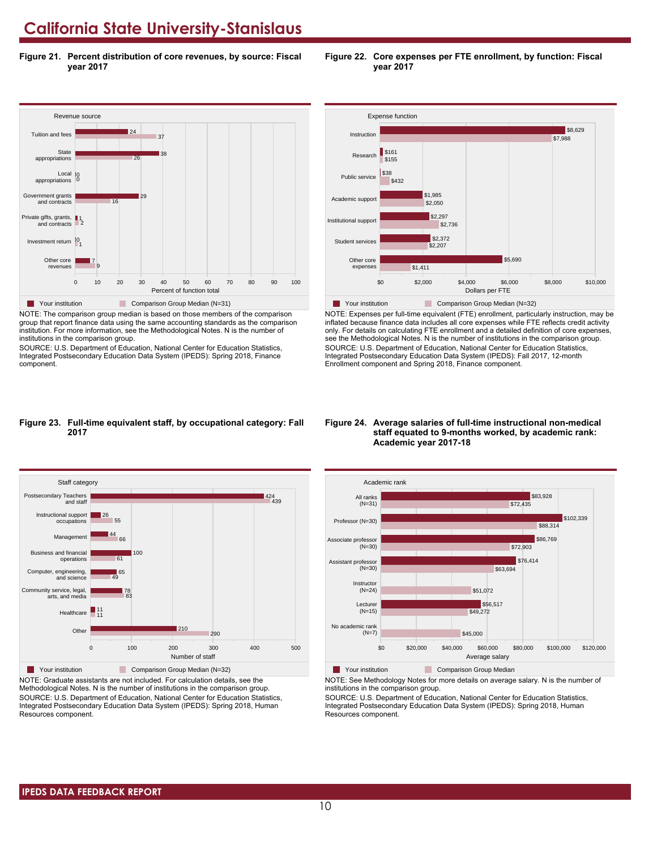**Figure 21. Percent distribution of core revenues, by source: Fiscal year 2017**



NOTE: The comparison group median is based on those members of the comparison group that report finance data using the same accounting standards as the comparison institution. For more information, see the Methodological Notes. N is the number of institutions in the comparison group.

SOURCE: U.S. Department of Education, National Center for Education Statistics, Integrated Postsecondary Education Data System (IPEDS): Spring 2018, Finance component.



**Figure 22. Core expenses per FTE enrollment, by function: Fiscal**

**year 2017**

\$0 \$2,000 \$4,000 \$6,000 \$8,000 \$10,000 Dollars per FTE Other core expenses Student services Institutional support \$1,411 \$5,690  $$2,207$ \$2,372 **Table 7 Your institution** Comparison Group Median (N=32)

NOTE: Expenses per full-time equivalent (FTE) enrollment, particularly instruction, may be inflated because finance data includes all core expenses while FTE reflects credit activity only. For details on calculating FTE enrollment and a detailed definition of core expenses, see the Methodological Notes. N is the number of institutions in the comparison group. SOURCE: U.S. Department of Education, National Center for Education Statistics, Integrated Postsecondary Education Data System (IPEDS): Fall 2017, 12-month Enrollment component and Spring 2018, Finance component.

#### **Figure 23. Full-time equivalent staff, by occupational category: Fall 2017**



NOTE: Graduate assistants are not included. For calculation details, see the Methodological Notes. N is the number of institutions in the comparison group. SOURCE: U.S. Department of Education, National Center for Education Statistics, Integrated Postsecondary Education Data System (IPEDS): Spring 2018, Human Resources component.

#### **Figure 24. Average salaries of full-time instructional non-medical staff equated to 9-months worked, by academic rank: Academic year 2017-18**



**The Your institution** Comparison Group Median

NOTE: See Methodology Notes for more details on average salary. N is the number of institutions in the comparison group.

SOURCE: U.S. Department of Education, National Center for Education Statistics, Integrated Postsecondary Education Data System (IPEDS): Spring 2018, Human Resources component.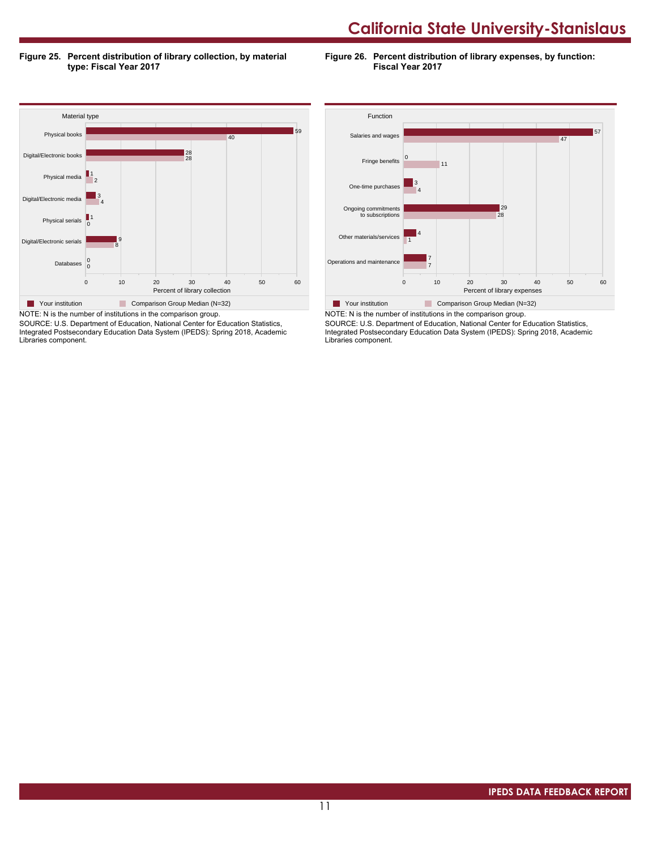**Figure 25. Percent distribution of library collection, by material type: Fiscal Year 2017**

**Figure 26. Percent distribution of library expenses, by function: Fiscal Year 2017**



SOURCE: U.S. Department of Education, National Center for Education Statistics, Integrated Postsecondary Education Data System (IPEDS): Spring 2018, Academic Libraries component.



SOURCE: U.S. Department of Education, National Center for Education Statistics, Integrated Postsecondary Education Data System (IPEDS): Spring 2018, Academic Libraries component.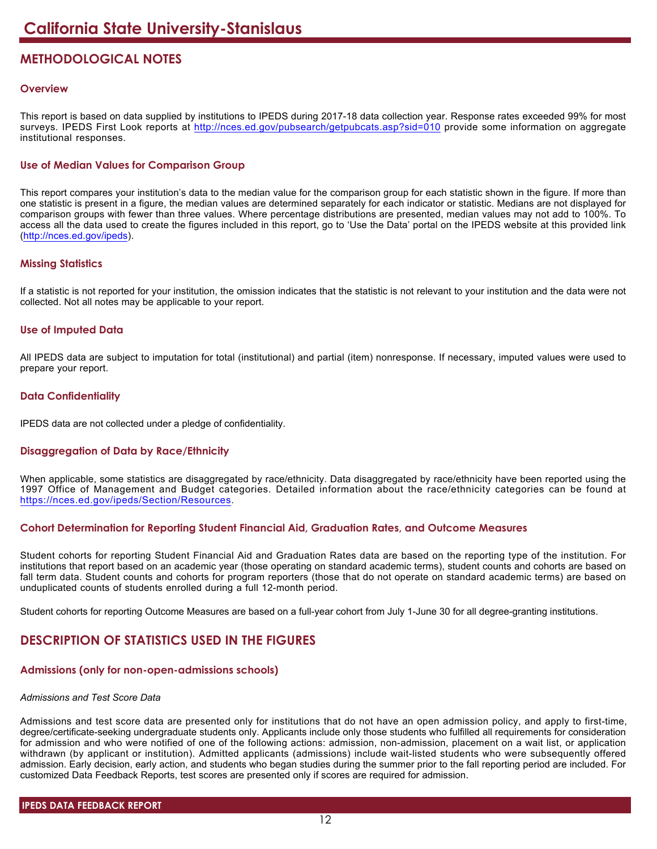# **METHODOLOGICAL NOTES**

# **Overview**

This report is based on data supplied by institutions to IPEDS during 2017-18 data collection year. Response rates exceeded 99% for most surveys. IPEDS First Look reports at <http://nces.ed.gov/pubsearch/getpubcats.asp?sid=010> provide some information on aggregate institutional responses.

# **Use of Median Values for Comparison Group**

This report compares your institution's data to the median value for the comparison group for each statistic shown in the figure. If more than one statistic is present in a figure, the median values are determined separately for each indicator or statistic. Medians are not displayed for comparison groups with fewer than three values. Where percentage distributions are presented, median values may not add to 100%. To access all the data used to create the figures included in this report, go to 'Use the Data' portal on the IPEDS website at this provided link (<http://nces.ed.gov/ipeds>).

# **Missing Statistics**

If a statistic is not reported for your institution, the omission indicates that the statistic is not relevant to your institution and the data were not collected. Not all notes may be applicable to your report.

# **Use of Imputed Data**

All IPEDS data are subject to imputation for total (institutional) and partial (item) nonresponse. If necessary, imputed values were used to prepare your report.

# **Data Confidentiality**

IPEDS data are not collected under a pledge of confidentiality.

# **Disaggregation of Data by Race/Ethnicity**

When applicable, some statistics are disaggregated by race/ethnicity. Data disaggregated by race/ethnicity have been reported using the 1997 Office of Management and Budget categories. Detailed information about the race/ethnicity categories can be found at <https://nces.ed.gov/ipeds/Section/Resources>.

# **Cohort Determination for Reporting Student Financial Aid, Graduation Rates, and Outcome Measures**

Student cohorts for reporting Student Financial Aid and Graduation Rates data are based on the reporting type of the institution. For institutions that report based on an academic year (those operating on standard academic terms), student counts and cohorts are based on fall term data. Student counts and cohorts for program reporters (those that do not operate on standard academic terms) are based on unduplicated counts of students enrolled during a full 12-month period.

Student cohorts for reporting Outcome Measures are based on a full-year cohort from July 1-June 30 for all degree-granting institutions.

# **DESCRIPTION OF STATISTICS USED IN THE FIGURES**

# **Admissions (only for non-open-admissions schools)**

### *Admissions and Test Score Data*

Admissions and test score data are presented only for institutions that do not have an open admission policy, and apply to first-time, degree/certificate-seeking undergraduate students only. Applicants include only those students who fulfilled all requirements for consideration for admission and who were notified of one of the following actions: admission, non-admission, placement on a wait list, or application withdrawn (by applicant or institution). Admitted applicants (admissions) include wait-listed students who were subsequently offered admission. Early decision, early action, and students who began studies during the summer prior to the fall reporting period are included. For customized Data Feedback Reports, test scores are presented only if scores are required for admission.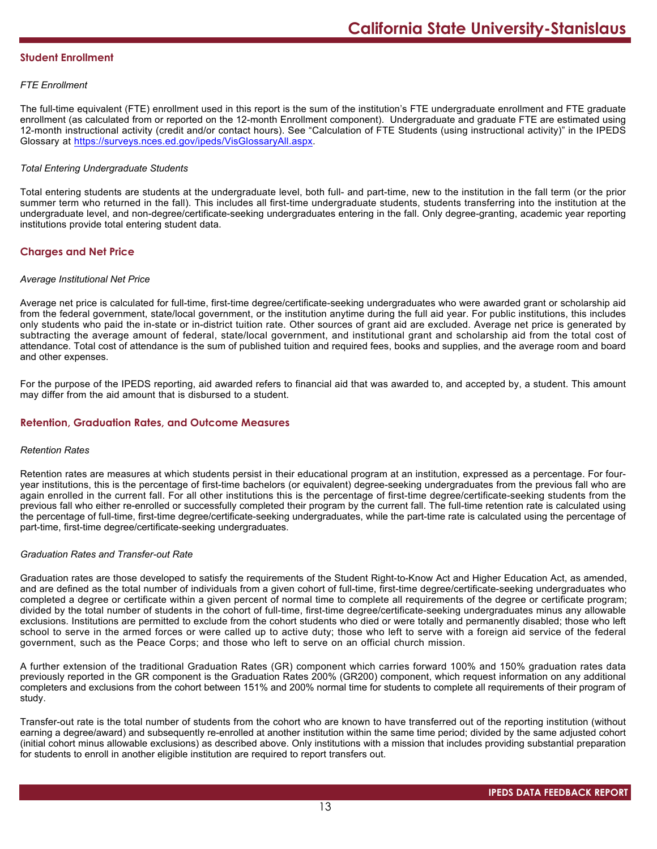# **Student Enrollment**

# *FTE Enrollment*

The full-time equivalent (FTE) enrollment used in this report is the sum of the institution's FTE undergraduate enrollment and FTE graduate enrollment (as calculated from or reported on the 12-month Enrollment component). Undergraduate and graduate FTE are estimated using 12-month instructional activity (credit and/or contact hours). See "Calculation of FTE Students (using instructional activity)" in the IPEDS Glossary at <https://surveys.nces.ed.gov/ipeds/VisGlossaryAll.aspx>.

# *Total Entering Undergraduate Students*

Total entering students are students at the undergraduate level, both full- and part-time, new to the institution in the fall term (or the prior summer term who returned in the fall). This includes all first-time undergraduate students, students transferring into the institution at the undergraduate level, and non-degree/certificate-seeking undergraduates entering in the fall. Only degree-granting, academic year reporting institutions provide total entering student data.

# **Charges and Net Price**

### *Average Institutional Net Price*

Average net price is calculated for full-time, first-time degree/certificate-seeking undergraduates who were awarded grant or scholarship aid from the federal government, state/local government, or the institution anytime during the full aid year. For public institutions, this includes only students who paid the in-state or in-district tuition rate. Other sources of grant aid are excluded. Average net price is generated by subtracting the average amount of federal, state/local government, and institutional grant and scholarship aid from the total cost of attendance. Total cost of attendance is the sum of published tuition and required fees, books and supplies, and the average room and board and other expenses.

For the purpose of the IPEDS reporting, aid awarded refers to financial aid that was awarded to, and accepted by, a student. This amount may differ from the aid amount that is disbursed to a student.

# **Retention, Graduation Rates, and Outcome Measures**

### *Retention Rates*

Retention rates are measures at which students persist in their educational program at an institution, expressed as a percentage. For fouryear institutions, this is the percentage of first-time bachelors (or equivalent) degree-seeking undergraduates from the previous fall who are again enrolled in the current fall. For all other institutions this is the percentage of first-time degree/certificate-seeking students from the previous fall who either re-enrolled or successfully completed their program by the current fall. The full-time retention rate is calculated using the percentage of full-time, first-time degree/certificate-seeking undergraduates, while the part-time rate is calculated using the percentage of part-time, first-time degree/certificate-seeking undergraduates.

### *Graduation Rates and Transfer-out Rate*

Graduation rates are those developed to satisfy the requirements of the Student Right-to-Know Act and Higher Education Act, as amended, and are defined as the total number of individuals from a given cohort of full-time, first-time degree/certificate-seeking undergraduates who completed a degree or certificate within a given percent of normal time to complete all requirements of the degree or certificate program; divided by the total number of students in the cohort of full-time, first-time degree/certificate-seeking undergraduates minus any allowable exclusions. Institutions are permitted to exclude from the cohort students who died or were totally and permanently disabled; those who left school to serve in the armed forces or were called up to active duty; those who left to serve with a foreign aid service of the federal government, such as the Peace Corps; and those who left to serve on an official church mission.

A further extension of the traditional Graduation Rates (GR) component which carries forward 100% and 150% graduation rates data previously reported in the GR component is the Graduation Rates 200% (GR200) component, which request information on any additional completers and exclusions from the cohort between 151% and 200% normal time for students to complete all requirements of their program of study.

Transfer-out rate is the total number of students from the cohort who are known to have transferred out of the reporting institution (without earning a degree/award) and subsequently re-enrolled at another institution within the same time period; divided by the same adjusted cohort (initial cohort minus allowable exclusions) as described above. Only institutions with a mission that includes providing substantial preparation for students to enroll in another eligible institution are required to report transfers out.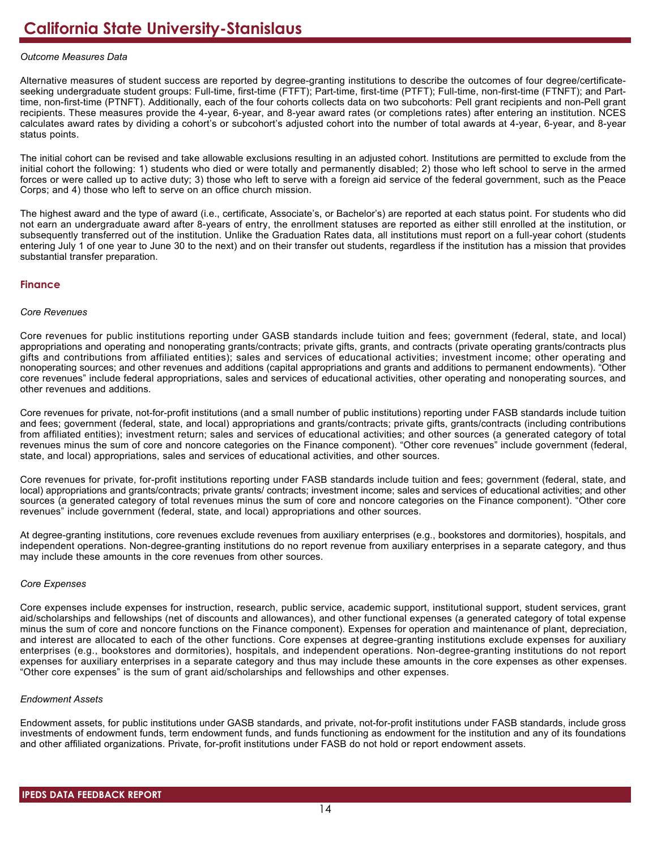## *Outcome Measures Data*

Alternative measures of student success are reported by degree-granting institutions to describe the outcomes of four degree/certificateseeking undergraduate student groups: Full-time, first-time (FTFT); Part-time, first-time (PTFT); Full-time, non-first-time (FTNFT); and Parttime, non-first-time (PTNFT). Additionally, each of the four cohorts collects data on two subcohorts: Pell grant recipients and non-Pell grant recipients. These measures provide the 4-year, 6-year, and 8-year award rates (or completions rates) after entering an institution. NCES calculates award rates by dividing a cohort's or subcohort's adjusted cohort into the number of total awards at 4-year, 6-year, and 8-year status points.

The initial cohort can be revised and take allowable exclusions resulting in an adjusted cohort. Institutions are permitted to exclude from the initial cohort the following: 1) students who died or were totally and permanently disabled; 2) those who left school to serve in the armed forces or were called up to active duty; 3) those who left to serve with a foreign aid service of the federal government, such as the Peace Corps; and 4) those who left to serve on an office church mission.

The highest award and the type of award (i.e., certificate, Associate's, or Bachelor's) are reported at each status point. For students who did not earn an undergraduate award after 8-years of entry, the enrollment statuses are reported as either still enrolled at the institution, or subsequently transferred out of the institution. Unlike the Graduation Rates data, all institutions must report on a full-year cohort (students entering July 1 of one year to June 30 to the next) and on their transfer out students, regardless if the institution has a mission that provides substantial transfer preparation.

# **Finance**

### *Core Revenues*

Core revenues for public institutions reporting under GASB standards include tuition and fees; government (federal, state, and local) appropriations and operating and nonoperating grants/contracts; private gifts, grants, and contracts (private operating grants/contracts plus gifts and contributions from affiliated entities); sales and services of educational activities; investment income; other operating and nonoperating sources; and other revenues and additions (capital appropriations and grants and additions to permanent endowments). "Other core revenues" include federal appropriations, sales and services of educational activities, other operating and nonoperating sources, and other revenues and additions.

Core revenues for private, not-for-profit institutions (and a small number of public institutions) reporting under FASB standards include tuition and fees; government (federal, state, and local) appropriations and grants/contracts; private gifts, grants/contracts (including contributions from affiliated entities); investment return; sales and services of educational activities; and other sources (a generated category of total revenues minus the sum of core and noncore categories on the Finance component). "Other core revenues" include government (federal, state, and local) appropriations, sales and services of educational activities, and other sources.

Core revenues for private, for-profit institutions reporting under FASB standards include tuition and fees; government (federal, state, and local) appropriations and grants/contracts; private grants/ contracts; investment income; sales and services of educational activities; and other sources (a generated category of total revenues minus the sum of core and noncore categories on the Finance component). "Other core revenues" include government (federal, state, and local) appropriations and other sources.

At degree-granting institutions, core revenues exclude revenues from auxiliary enterprises (e.g., bookstores and dormitories), hospitals, and independent operations. Non-degree-granting institutions do no report revenue from auxiliary enterprises in a separate category, and thus may include these amounts in the core revenues from other sources.

### *Core Expenses*

Core expenses include expenses for instruction, research, public service, academic support, institutional support, student services, grant aid/scholarships and fellowships (net of discounts and allowances), and other functional expenses (a generated category of total expense minus the sum of core and noncore functions on the Finance component). Expenses for operation and maintenance of plant, depreciation, and interest are allocated to each of the other functions. Core expenses at degree-granting institutions exclude expenses for auxiliary enterprises (e.g., bookstores and dormitories), hospitals, and independent operations. Non-degree-granting institutions do not report expenses for auxiliary enterprises in a separate category and thus may include these amounts in the core expenses as other expenses. "Other core expenses" is the sum of grant aid/scholarships and fellowships and other expenses.

### *Endowment Assets*

Endowment assets, for public institutions under GASB standards, and private, not-for-profit institutions under FASB standards, include gross investments of endowment funds, term endowment funds, and funds functioning as endowment for the institution and any of its foundations and other affiliated organizations. Private, for-profit institutions under FASB do not hold or report endowment assets.